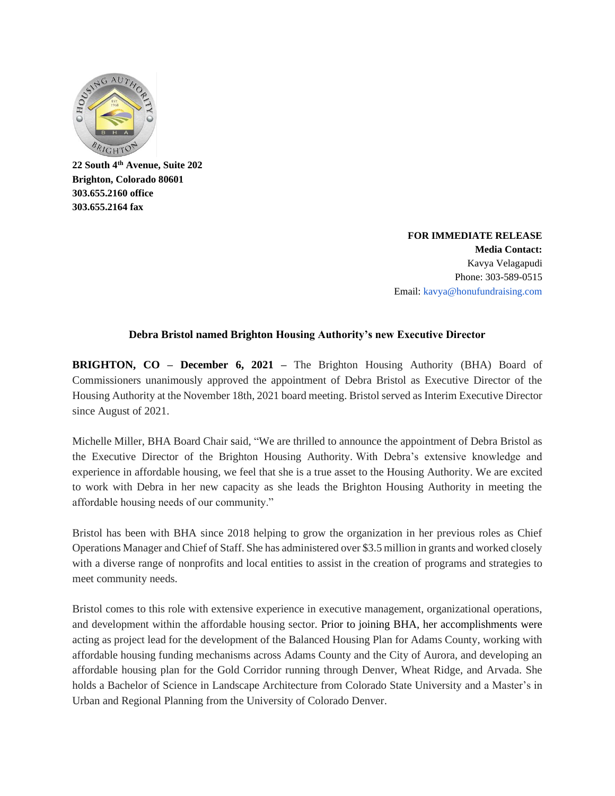

**22 South 4th Avenue, Suite 202 Brighton, Colorado 80601 303.655.2160 office 303.655.2164 fax**

> **FOR IMMEDIATE RELEASE Media Contact:** Kavya Velagapudi Phone: 303-589-0515 Email: kavya@honufundraising.com

## **Debra Bristol named Brighton Housing Authority's new Executive Director**

**BRIGHTON, CO – December 6, 2021 –** The Brighton Housing Authority (BHA) Board of Commissioners unanimously approved the appointment of Debra Bristol as Executive Director of the Housing Authority at the November 18th, 2021 board meeting. Bristol served as Interim Executive Director since August of 2021.

Michelle Miller, BHA Board Chair said, "We are thrilled to announce the appointment of Debra Bristol as the Executive Director of the Brighton Housing Authority. With Debra's extensive knowledge and experience in affordable housing, we feel that she is a true asset to the Housing Authority. We are excited to work with Debra in her new capacity as she leads the Brighton Housing Authority in meeting the affordable housing needs of our community."

Bristol has been with BHA since 2018 helping to grow the organization in her previous roles as Chief Operations Manager and Chief of Staff. She has administered over \$3.5 million in grants and worked closely with a diverse range of nonprofits and local entities to assist in the creation of programs and strategies to meet community needs.

Bristol comes to this role with extensive experience in executive management, organizational operations, and development within the affordable housing sector. Prior to joining BHA, her accomplishments were acting as project lead for the development of the Balanced Housing Plan for Adams County, working with affordable housing funding mechanisms across Adams County and the City of Aurora, and developing an affordable housing plan for the Gold Corridor running through Denver, Wheat Ridge, and Arvada. She holds a Bachelor of Science in Landscape Architecture from Colorado State University and a Master's in Urban and Regional Planning from the University of Colorado Denver.